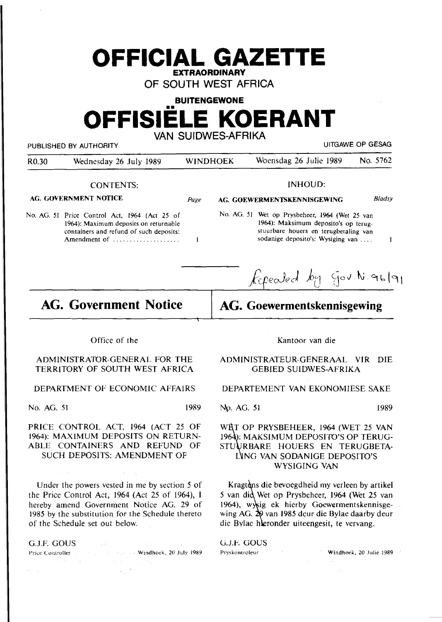## **OFFICIAL GAZETTE EXTRAORDINARY**

**OF SOUTH WEST AFRICA** 

## **BUITENGEWONE OFFISIELE KOERANT VAN SUIDWES-AFRIKA**

|                                                                                                                                                   | PUBLISHED BY AUTHORITY                                                                                                                                                                            |      | UITGAWE OP GESAG                                                                                                                                                          |                                                                                                                                                                                                   |      |  |  |
|---------------------------------------------------------------------------------------------------------------------------------------------------|---------------------------------------------------------------------------------------------------------------------------------------------------------------------------------------------------|------|---------------------------------------------------------------------------------------------------------------------------------------------------------------------------|---------------------------------------------------------------------------------------------------------------------------------------------------------------------------------------------------|------|--|--|
| R <sub>0.30</sub>                                                                                                                                 | Wednesday 26 July 1989                                                                                                                                                                            |      | <b>WINDHOEK</b>                                                                                                                                                           | No. 5762<br>Woensdag 26 Julie 1989                                                                                                                                                                |      |  |  |
|                                                                                                                                                   | <b>CONTENTS:</b>                                                                                                                                                                                  |      |                                                                                                                                                                           | <b>INHOUD:</b>                                                                                                                                                                                    |      |  |  |
| AG. GOVERNMENT NOTICE                                                                                                                             |                                                                                                                                                                                                   |      |                                                                                                                                                                           | Bladsy<br>AG. GOEWERMENTSKENNISGEWING                                                                                                                                                             |      |  |  |
| No. AG. 51 Price Control Act, 1964 (Act 25 of<br>1964): Maximum deposits on returnable<br>containers and refund of such deposits:<br>Amendment of |                                                                                                                                                                                                   |      | No. AG. 51 Wet op Prysbeheer, 1964 (Wet 25 van<br>1964): Maksimum deposito's op terug-<br>stuurbare houers en terugbetaling van<br>sodanige deposito's: Wysiging van<br>1 |                                                                                                                                                                                                   |      |  |  |
|                                                                                                                                                   |                                                                                                                                                                                                   |      |                                                                                                                                                                           | Repealed by Gov. N. 96/91                                                                                                                                                                         |      |  |  |
| <b>AG. Government Notice</b>                                                                                                                      |                                                                                                                                                                                                   |      | AG. Goewermentskennisgewing                                                                                                                                               |                                                                                                                                                                                                   |      |  |  |
|                                                                                                                                                   | Office of the                                                                                                                                                                                     |      |                                                                                                                                                                           | Kantoor van die                                                                                                                                                                                   |      |  |  |
|                                                                                                                                                   |                                                                                                                                                                                                   |      |                                                                                                                                                                           |                                                                                                                                                                                                   |      |  |  |
| ADMINISTRATOR-GENERAL FOR THE<br>TERRITORY OF SOUTH WEST AFRICA                                                                                   |                                                                                                                                                                                                   |      | ADMINISTRATEUR-GENERAAL VIR<br><b>DIE</b><br><b>GEBIED SUIDWES-AFRIKA</b>                                                                                                 |                                                                                                                                                                                                   |      |  |  |
|                                                                                                                                                   | DEPARTMENT OF ECONOMIC AFFAIRS                                                                                                                                                                    |      |                                                                                                                                                                           | DEPARTEMENT VAN EKONOMIESE SAKE                                                                                                                                                                   |      |  |  |
| No. AG. 51                                                                                                                                        |                                                                                                                                                                                                   | 1989 | No. AG. 51                                                                                                                                                                |                                                                                                                                                                                                   | 1989 |  |  |
|                                                                                                                                                   | PRICE CONTROL ACT, 1964 (ACT 25 OF<br>1964): MAXIMUM DEPOSITS ON RETURN-<br>ABLE CONTAINERS AND REFUND OF<br>SUCH DEPOSITS: AMENDMENT OF                                                          |      |                                                                                                                                                                           | WRT OP PRYSBEHEER, 1964 (WET 25 VAN<br>1964): MAKSIMUM DEPOSITO'S OP TERUG-<br>STUURBARE HOUERS EN TERUGBETA-<br>LING VAN SODANIGE DEPOSITO'S<br><b>WYSIGING VAN</b>                              |      |  |  |
|                                                                                                                                                   | Under the powers vested in me by section 5 of<br>the Price Control Act, 1964 (Act 25 of 1964), 1<br>hereby amend Government Notice AG. 29 of<br>1985 by the substitution for the Schedule thereto |      |                                                                                                                                                                           | Kragtons die bevoegdheid my verleen by artikel<br>5 van die Wet op Prysbeheer, 1964 (Wet 25 van<br>1964), wysig ek hierby Goewermentskennisge-<br>wing AG. 29 van 1985 deur die Bylae daarby deur |      |  |  |

G.J.F. GOUS And the second second second second second second second second second second second second second second second second second second second second second second second second second second second second second  $\mathcal{L}_{\rm{max}}$  ,  $\mathcal{L}_{\rm{max}}$ Prk~ Controller · · .. • .. Windhoek, 20 July 1989

 $\sim 200$  and  $\sim 100$ 

of the Schedule set out. below.

 $\epsilon_{\rm eff} = \epsilon_{\rm eff}$ 

wing AG. 29 van 1985 deur die Bylae daarby deur die Bylae heronder uiteengesit, te vervang.

 $\mathcal{L}_{\text{max}}$  , where  $\mathcal{L}_{\text{max}}$ 

 $\sim$ 

G.J.E GOUS.

Pryskontroleur Windhoek, 20 Julie 1989